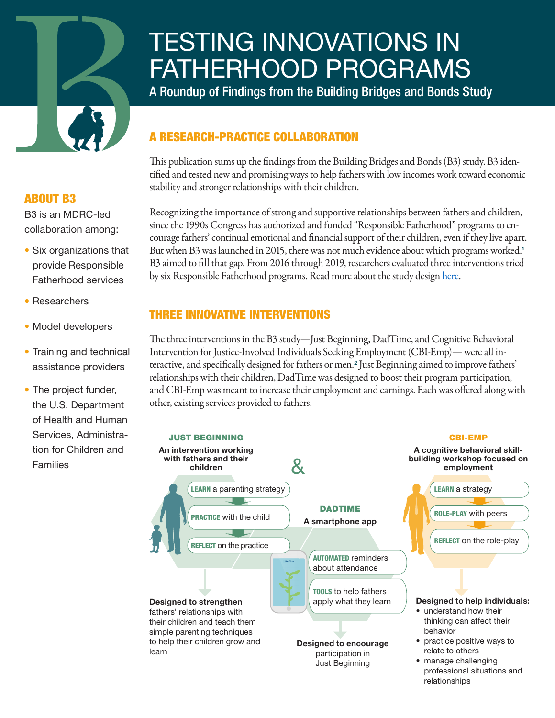# <span id="page-0-0"></span>TESTING INNOVATIONS IN FATHERHOOD PROGRAMS

A Roundup of Findings from the Building Bridges and Bonds Study

# **RESEARCH-PRACTICE COLLABORATION**

This publication sums up the findings from the Building Bridges and Bonds (B3) study. B3 identified and tested new and promising ways to help fathers with low incomes work toward economic stability and stronger relationships with their children.

Recognizing the importance of strong and supportive relationships between fathers and children, since the 1990s Congress has authorized and funded "Responsible Fatherhood" programs to encourage fathers' continual emotional and financial support of their children, even if they live apart. But when B3 was launched in 20[1](#page-5-0)5, there was not much evidence about which programs worked.<sup>1</sup> B3 aimed to fill that gap. From 2016 through 2019, researchers evaluated three interventions tried by six Responsible Fatherhood programs. Read more about the study design [here](https://www.mdrc.org/sites/default/files/B3_StudyDesignReport.pdf).

#### THREE INNOVATIVE INTERVENTIONS

The three interventions in the B3 study—Just Beginning, DadTime, and Cognitive Behavioral Intervention for Justice-Involved Individuals Seeking Employment (CBI-Emp)— were all interactive, and specifically designed for fathers or men.[2](#page-5-0) Just Beginning aimed to improve fathers' relationships with their children, DadTime was designed to boost their program participation, and CBI-Emp was meant to increase their employment and earnings. Each was offered along with other, existing services provided to fathers.



#### ABOUT B3

B3 is an MDRC-led collaboration among:

- Six organizations that provide Responsible Fatherhood services
- Researchers
- Model developers
- Training and technical assistance providers
- The project funder, the U.S. Department of Health and Human Services, Administration for Children and **Families**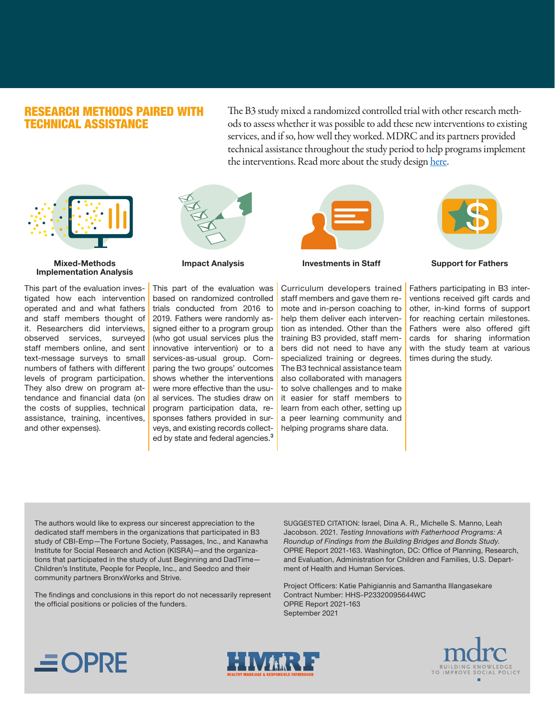#### <span id="page-1-0"></span>RESEARCH METHODS PAIRED WITH TECHNICAL ASSISTANCE

The B3 study mixed a randomized controlled trial with other research methods to assess whether it was possible to add these new interventions to existing services, and if so, how well they worked. MDRC and its partners provided technical assistance throughout the study period to help programs implement the interventions. Read more about the study design [here](https://www.mdrc.org/sites/default/files/B3_StudyDesignReport.pdf).



#### Mixed-Methods Implementation Analysis

This part of the evaluation investigated how each intervention operated and and what fathers and staff members thought of it. Researchers did interviews, observed services, surveyed staff members online, and sent text-message surveys to small numbers of fathers with different levels of program participation. They also drew on program attendance and financial data (on the costs of supplies, technical assistance, training, incentives, and other expenses).



Impact Analysis

This part of the evaluation was based on randomized controlled trials conducted from 2016 to 2019. Fathers were randomly assigned either to a program group (who got usual services plus the innovative intervention) or to a services-as-usual group. Comparing the two groups' outcomes shows whether the interventions were more effective than the usual services. The studies draw on program participation data, responses fathers provided in surveys, and existing records collect-ed by state and federal agencies.<sup>[3](#page-5-0)</sup>



Investments in Staff

Curriculum developers trained staff members and gave them remote and in-person coaching to help them deliver each intervention as intended. Other than the training B3 provided, staff members did not need to have any specialized training or degrees. The B3 technical assistance team also collaborated with managers to solve challenges and to make it easier for staff members to learn from each other, setting up a peer learning community and helping programs share data.



Support for Fathers

Fathers participating in B3 interventions received gift cards and other, in-kind forms of support for reaching certain milestones. Fathers were also offered gift cards for sharing information with the study team at various times during the study.

The authors would like to express our sincerest appreciation to the dedicated staff members in the organizations that participated in B3 study of CBI-Emp—The Fortune Society, Passages, Inc., and Kanawha Institute for Social Research and Action (KISRA)—and the organizations that participated in the study of Just Beginning and DadTime— Children's Institute, People for People, Inc., and Seedco and their community partners BronxWorks and Strive.

The findings and conclusions in this report do not necessarily represent the official positions or policies of the funders.

SUGGESTED CITATION: Israel, Dina A. R., Michelle S. Manno, Leah Jacobson. 2021. *Testing Innovations with Fatherhood Programs: A Roundup of Findings from the Building Bridges and Bonds Study*. OPRE Report 2021-163. Washington, DC: Office of Planning, Research, and Evaluation, Administration for Children and Families, U.S. Department of Health and Human Services.

Project Officers: Katie Pahigiannis and Samantha Illangasekare Contract Number: HHS-P23320095644WC OPRE Report 2021-163 September 2021





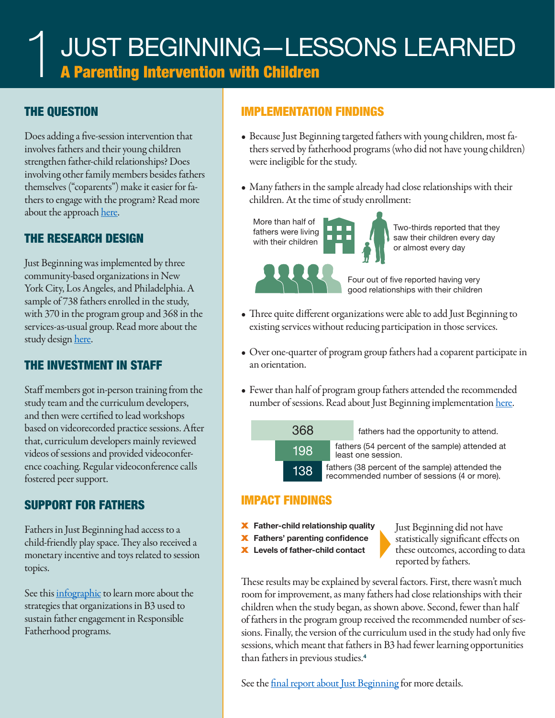## <span id="page-2-0"></span>THE QUESTION

Does adding a five-session intervention that involves fathers and their young children strengthen father-child relationships? Does involving other family members besides fathers themselves ("coparents") make it easier for fathers to engage with the program? Read more about the approach [here.](https://www.acf.hhs.gov/opre/report/three-innovative-approaches-serving-low-income-fathers-building-bridges-and-bonds-study)

#### THE RESEARCH DESIGN

Just Beginning was implemented by three community-based organizations in New York City, Los Angeles, and Philadelphia. A sample of 738 fathers enrolled in the study, with 370 in the program group and 368 in the services-as-usual group. Read more about the study design [here](https://www.acf.hhs.gov/opre/report/building-bridges-and-bonds-study-design-report).

# THE INVESTMENT IN STAFF

Staff members got in-person training from the study team and the curriculum developers, and then were certified to lead workshops based on videorecorded practice sessions. After that, curriculum developers mainly reviewed videos of sessions and provided videoconference coaching. Regular videoconference calls fostered peer support.

# SUPPORT FOR FATHERS

Fathers in Just Beginning had access to a child-friendly play space. They also received a monetary incentive and toys related to session topics.

See this [infographic](https://www.acf.hhs.gov/opre/report/inside-outside-round-and-round-sustaining-engagement-responsible-fatherhood-programs) to learn more about the strategies that organizations in B3 used to sustain father engagement in Responsible Fatherhood programs.

#### IMPLEMENTATION FINDINGS

- Because Just Beginning targeted fathers with young children, most fathers served by fatherhood programs (who did not have young children) were ineligible for the study.
- Many fathers in the sample already had close relationships with their children. At the time of study enrollment:



Two-thirds reported that they saw their children every day or almost every day

Four out of five reported having very good relationships with their children

- Three quite different organizations were able to add Just Beginning to existing services without reducing participation in those services.
- Over one-quarter of program group fathers had a coparent participate in an orientation.
- Fewer than half of program group fathers attended the recommended number of sessions. Read about Just Beginning implementation [here](https://www.acf.hhs.gov/opre/report/implementing-innovative-parenting-program-fathers-findings-b3-study).



**368** fathers had the opportunity to attend.

fathers (54 percent of the sample) attended at least one session.

fathers (38 percent of the sample) attended the recommended number of sessions (4 or more).

#### IMPACT FINDINGS

- **X** Father-child relationship quality
- X Fathers' parenting confidence
- X Levels of father-child contact

� Just Beginning did not have statistically significant effects on these outcomes, according to data reported by fathers.

These results may be explained by several factors. First, there wasn't much room for improvement, as many fathers had close relationships with their children when the study began, as shown above. Second, fewer than half of fathers in the program group received the recommended number of sessions. Finally, the version of the curriculum used in the study had only five sessions, which meant that fathers in B3 had fewer learning opportunities than fathers in previous studies.[4](#page-5-0)

See the [final report about Just Beginning](https://www.acf.hhs.gov/opre/report/children-and-fathers-bonding-findings-b3-study-innovative-parenting-intervention) for more details.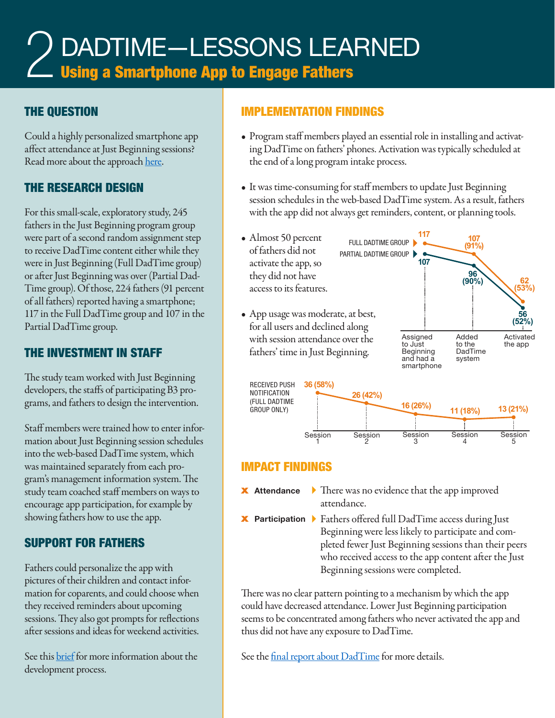# DADTIME—LESSONS LEARNED **Late 15 Smartphone App to Engage Fathers** 2

#### THE QUESTION

Could a highly personalized smartphone app affect attendance at Just Beginning sessions? Read more about the approach [here](https://www.acf.hhs.gov/opre/report/three-innovative-approaches-serving-low-income-fathers-building-bridges-and-bonds-study).

## THE RESEARCH DESIGN

For this small-scale, exploratory study, 245 fathers in the Just Beginning program group were part of a second random assignment step to receive DadTime content either while they were in Just Beginning (Full DadTime group) or after Just Beginning was over (Partial Dad-Time group). Of those, 224 fathers (91 percent of all fathers) reported having a smartphone; 117 in the Full DadTime group and 107 in the Partial DadTime group.

#### THE INVESTMENT IN STAFF

The study team worked with Just Beginning developers, the staffs of participating B3 programs, and fathers to design the intervention.

Staff members were trained how to enter information about Just Beginning session schedules into the web-based DadTime system, which was maintained separately from each program's management information system. The study team coached staff members on ways to encourage app participation, for example by showing fathers how to use the app.

## SUPPORT FOR FATHERS

Fathers could personalize the app with pictures of their children and contact information for coparents, and could choose when they received reminders about upcoming sessions. They also got prompts for reflections after sessions and ideas for weekend activities.

See this **brief** for more information about the development process.

#### IMPLEMENTATION FINDINGS

- Program staff members played an essential role in installing and activating DadTime on fathers' phones. Activation was typically scheduled at the end of a long program intake process.
- It was time-consuming for staff members to update Just Beginning session schedules in the web-based DadTime system. As a result, fathers with the app did not always get reminders, content, or planning tools.



#### IMPACT FINDINGS

- **★ Attendance** ▶ There was no evidence that the app improved attendance.
- X Participation � Fathers offered full DadTime access during Just Beginning were less likely to participate and completed fewer Just Beginning sessions than their peers who received access to the app content after the Just Beginning sessions were completed.

There was no clear pattern pointing to a mechanism by which the app could have decreased attendance. Lower Just Beginning participation seems to be concentrated among fathers who never activated the app and thus did not have any exposure to DadTime.

See the <u>final report about DadTime</u> for more details.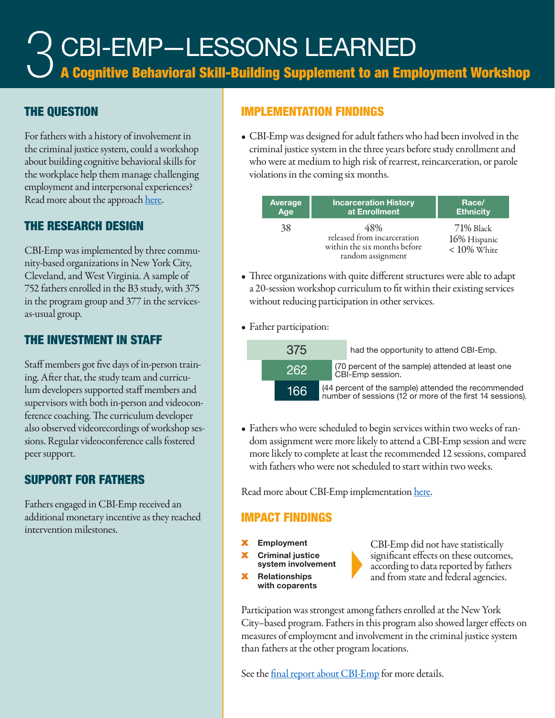# CBI-EMP—LESSONS LEARNED 3

A Cognitive Behavioral Skill-Building Supplement to an Employment Workshop

#### THE QUESTION

For fathers with a history of involvement in the criminal justice system, could a workshop about building cognitive behavioral skills for the workplace help them manage challenging employment and interpersonal experiences? Read more about the approach [here](https://www.acf.hhs.gov/opre/report/three-innovative-approaches-serving-low-income-fathers-building-bridges-and-bonds-study).

#### THE RESEARCH DESIGN

CBI-Emp was implemented by three community-based organizations in New York City, Cleveland, and West Virginia. A sample of 752 fathers enrolled in the B3 study, with 375 in the program group and 377 in the servicesas-usual group.

#### THE INVESTMENT IN STAFF

Staff members got five days of in-person training. After that, the study team and curriculum developers supported staff members and supervisors with both in-person and videoconference coaching. The curriculum developer also observed videorecordings of workshop sessions. Regular videoconference calls fostered peer support.

## SUPPORT FOR FATHERS

Fathers engaged in CBI-Emp received an additional monetary incentive as they reached intervention milestones.

#### IMPLEMENTATION FINDINGS

• CBI-Emp was designed for adult fathers who had been involved in the criminal justice system in the three years before study enrollment and who were at medium to high risk of rearrest, reincarceration, or parole violations in the coming six months.

| Average | <b>Incarceration History</b>                                                            | Race/                                       |
|---------|-----------------------------------------------------------------------------------------|---------------------------------------------|
| Age     | at Enrollment                                                                           | <b>Ethnicity</b>                            |
| 38      | 48%<br>released from incarceration<br>within the six months before<br>random assignment | 71% Black<br>16% Hispanic<br>$< 10\%$ White |

- Three organizations with quite different structures were able to adapt a 20-session workshop curriculum to fit within their existing services without reducing participation in other services.
- Father participation:



• Fathers who were scheduled to begin services within two weeks of random assignment were more likely to attend a CBI-Emp session and were more likely to complete at least the recommended 12 sessions, compared with fathers who were not scheduled to start within two weeks.

Read more about CBI-Emp implementation [here](https://www.acf.hhs.gov/opre/report/applying-cognitive-behavioral-techniques-employment-programming-fathers-findings-b3).

#### IMPACT FINDINGS

- **Employment**
- **Criminal justice** system involvement
- **Relationships** with coparents

CBI-Emp did not have statistically significant effects on these outcomes, according to data reported by fathers and from state and federal agencies.

Participation was strongest among fathers enrolled at the New York City–based program. Fathers in this program also showed larger effects on measures of employment and involvement in the criminal justice system than fathers at the other program locations.

See the [final report about CBI-Emp](https://www.acf.hhs.gov/opre/report/preparing-fathers-employment-findings-b3-study-cognitive-behavioral-program) for more details.

�